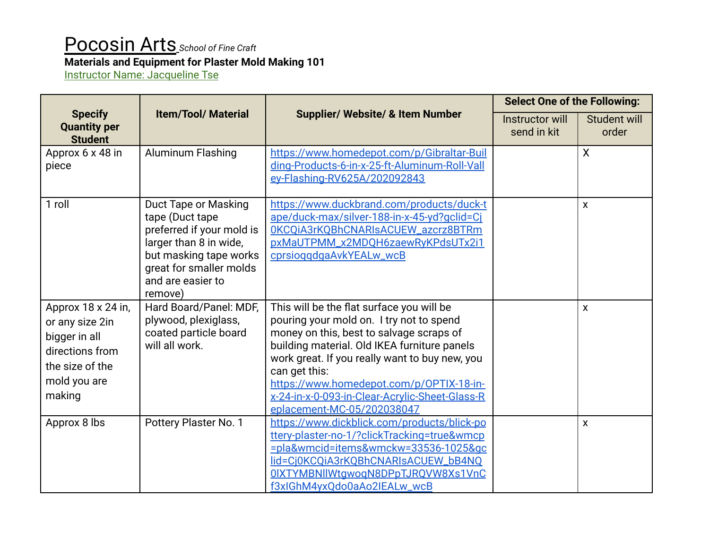## Pocosin Arts *School of Fine Craft* **Materials and Equipment for Plaster Mold Making 101**

Instructor Name: Jacqueline Tse

| <b>Specify</b><br><b>Quantity per</b><br><b>Student</b>                                                                | <b>Item/Tool/ Material</b>                                                                                                                                                                 | <b>Supplier/ Website/ &amp; Item Number</b>                                                                                                                                                                                                                                                                                                                                      | <b>Select One of the Following:</b> |                           |
|------------------------------------------------------------------------------------------------------------------------|--------------------------------------------------------------------------------------------------------------------------------------------------------------------------------------------|----------------------------------------------------------------------------------------------------------------------------------------------------------------------------------------------------------------------------------------------------------------------------------------------------------------------------------------------------------------------------------|-------------------------------------|---------------------------|
|                                                                                                                        |                                                                                                                                                                                            |                                                                                                                                                                                                                                                                                                                                                                                  | Instructor will<br>send in kit      | Student will<br>order     |
| Approx 6 x 48 in<br>piece                                                                                              | Aluminum Flashing                                                                                                                                                                          | https://www.homedepot.com/p/Gibraltar-Buil<br>ding-Products-6-in-x-25-ft-Aluminum-Roll-Vall<br>ey-Flashing-RV625A/202092843                                                                                                                                                                                                                                                      |                                     | $\mathsf{X}$              |
| 1 roll                                                                                                                 | <b>Duct Tape or Masking</b><br>tape (Duct tape<br>preferred if your mold is<br>larger than 8 in wide,<br>but masking tape works<br>great for smaller molds<br>and are easier to<br>remove) | https://www.duckbrand.com/products/duck-t<br>ape/duck-max/silver-188-in-x-45-yd?gclid=Ci<br>0KCQiA3rKQBhCNARIsACUEW_azcrz8BTRm<br>pxMaUTPMM_x2MDQH6zaewRyKPdsUTx2i1<br>cprsioggdgaAvkYEALw_wcB                                                                                                                                                                                   |                                     | $\boldsymbol{\mathsf{X}}$ |
| Approx 18 x 24 in,<br>or any size 2in<br>bigger in all<br>directions from<br>the size of the<br>mold you are<br>making | Hard Board/Panel: MDF,<br>plywood, plexiglass,<br>coated particle board<br>will all work.                                                                                                  | This will be the flat surface you will be<br>pouring your mold on. I try not to spend<br>money on this, best to salvage scraps of<br>building material. Old IKEA furniture panels<br>work great. If you really want to buy new, you<br>can get this:<br>https://www.homedepot.com/p/OPTIX-18-in-<br>x-24-in-x-0-093-in-Clear-Acrylic-Sheet-Glass-R<br>eplacement-MC-05/202038047 |                                     | $\boldsymbol{\mathsf{X}}$ |
| Approx 8 lbs                                                                                                           | Pottery Plaster No. 1                                                                                                                                                                      | https://www.dickblick.com/products/blick-po<br>ttery-plaster-no-1/?clickTracking=true&wmcp<br>=pla&wmcid=items&wmckw=33536-1025&gc<br>lid=Cj0KCQiA3rKQBhCNARIsACUEW_bB4NQ<br>0IXTYMBNIIWtgwogN8DPpTJRQVW8Xs1VnC<br>f3xIGhM4yxQdo0aAo2IEALw_wcB                                                                                                                                   |                                     | $\boldsymbol{\mathsf{x}}$ |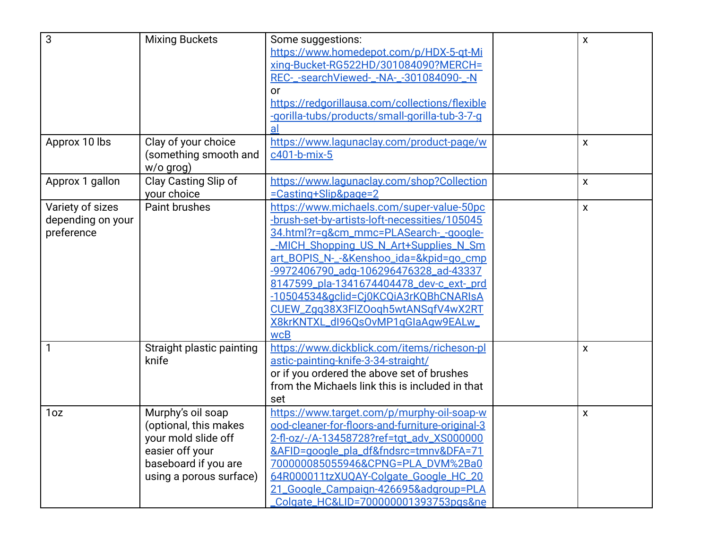| 3                                                   | <b>Mixing Buckets</b>                                                                                                                   | Some suggestions:<br>https://www.homedepot.com/p/HDX-5-at-Mi<br>xing-Bucket-RG522HD/301084090?MERCH=<br>REC-_-searchViewed-_-NA-_-301084090-_-N<br>or<br>https://redgorillausa.com/collections/flexible<br>-gorilla-tubs/products/small-gorilla-tub-3-7-g<br>al                                                                                                                                                                                  | $\boldsymbol{\mathsf{X}}$ |
|-----------------------------------------------------|-----------------------------------------------------------------------------------------------------------------------------------------|--------------------------------------------------------------------------------------------------------------------------------------------------------------------------------------------------------------------------------------------------------------------------------------------------------------------------------------------------------------------------------------------------------------------------------------------------|---------------------------|
| Approx 10 lbs                                       | Clay of your choice<br>(something smooth and<br>w/o grog)                                                                               | https://www.lagunaclay.com/product-page/w<br>c401-b-mix-5                                                                                                                                                                                                                                                                                                                                                                                        | $\boldsymbol{\mathsf{X}}$ |
| Approx 1 gallon                                     | Clay Casting Slip of<br>your choice                                                                                                     | https://www.lagunaclay.com/shop?Collection<br>=Casting+Slip&page=2                                                                                                                                                                                                                                                                                                                                                                               | $\boldsymbol{\mathsf{X}}$ |
| Variety of sizes<br>depending on your<br>preference | Paint brushes                                                                                                                           | https://www.michaels.com/super-value-50pc<br>-brush-set-by-artists-loft-necessities/105045<br>34.html?r=g&cm_mmc=PLASearch-_-google-<br>-MICH_Shopping_US_N_Art+Supplies_N_Sm<br>art_BOPIS_N-_-&Kenshoo_ida=&kpid=go_cmp<br>-9972406790_adg-106296476328_ad-43337<br>8147599_pla-1341674404478_dev-c_ext-_prd<br>-10504534&gclid=Cj0KCQiA3rKQBhCNARIsA<br>CUEW_Zgq38X3FlZOoqh5wtANSqfV4wX2RT<br>X8krKNTXL_dl96QsOvMP1qGlaAqw9EALw_<br><b>wcB</b> | $\boldsymbol{\mathsf{X}}$ |
|                                                     | Straight plastic painting<br>knife                                                                                                      | https://www.dickblick.com/items/richeson-pl<br>astic-painting-knife-3-34-straight/<br>or if you ordered the above set of brushes<br>from the Michaels link this is included in that<br>set                                                                                                                                                                                                                                                       | $\boldsymbol{\mathsf{X}}$ |
| 1oz                                                 | Murphy's oil soap<br>(optional, this makes<br>your mold slide off<br>easier off your<br>baseboard if you are<br>using a porous surface) | https://www.target.com/p/murphy-oil-soap-w<br>ood-cleaner-for-floors-and-furniture-original-3<br>2-fl-oz/-/A-13458728?ref=tgt_adv_XS000000<br>&AFID=google_pla_df&fndsrc=tmnv&DFA=71<br>700000085055946&CPNG=PLA_DVM%2Ba0<br>64R000011tzXUQAY-Colgate_Google_HC_20<br>21_Google_Campaign-426695&adgroup=PLA<br>Colgate_HC&LID=700000001393753pgs≠                                                                                                | $\pmb{\times}$            |